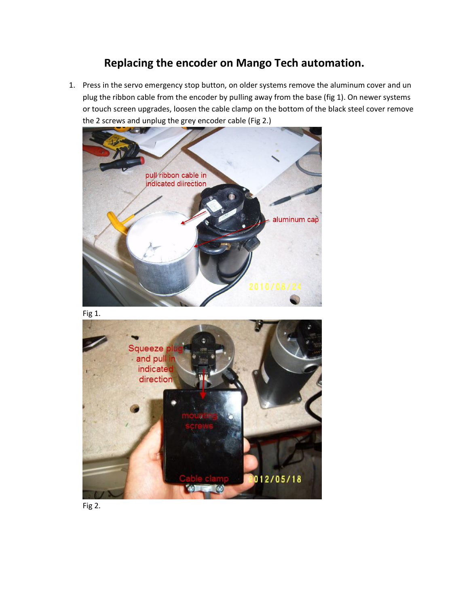## **Replacing the encoder on Mango Tech automation.**

1. Press in the servo emergency stop button, on older systems remove the aluminum cover and un plug the ribbon cable from the encoder by pulling away from the base (fig 1). On newer systems or touch screen upgrades, loosen the cable clamp on the bottom of the black steel cover remove the 2 screws and unplug the grey encoder cable (Fig 2.)



Fig 1.



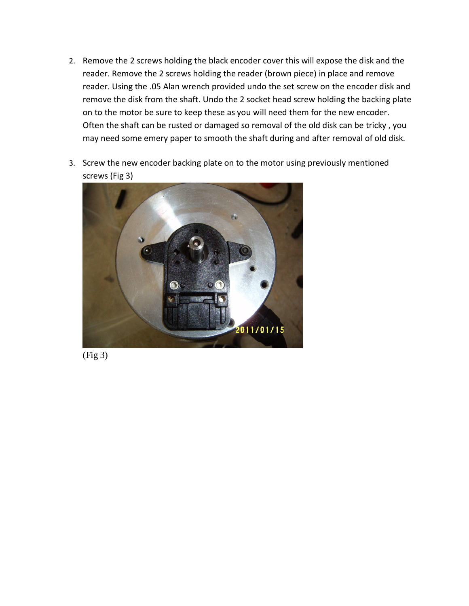- 2. Remove the 2 screws holding the black encoder cover this will expose the disk and the reader. Remove the 2 screws holding the reader (brown piece) in place and remove reader. Using the .05 Alan wrench provided undo the set screw on the encoder disk and remove the disk from the shaft. Undo the 2 socket head screw holding the backing plate on to the motor be sure to keep these as you will need them for the new encoder. Often the shaft can be rusted or damaged so removal of the old disk can be tricky , you may need some emery paper to smooth the shaft during and after removal of old disk.
- 3. Screw the new encoder backing plate on to the motor using previously mentioned screws (Fig 3)



(Fig 3)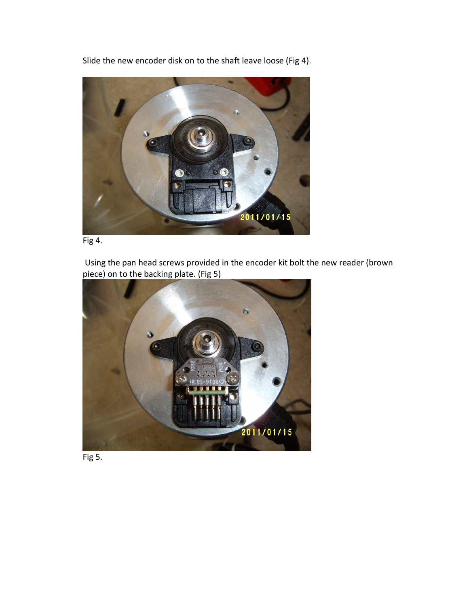Slide the new encoder disk on to the shaft leave loose (Fig 4).





Using the pan head screws provided in the encoder kit bolt the new reader (brown piece) on to the backing plate. (Fig 5)